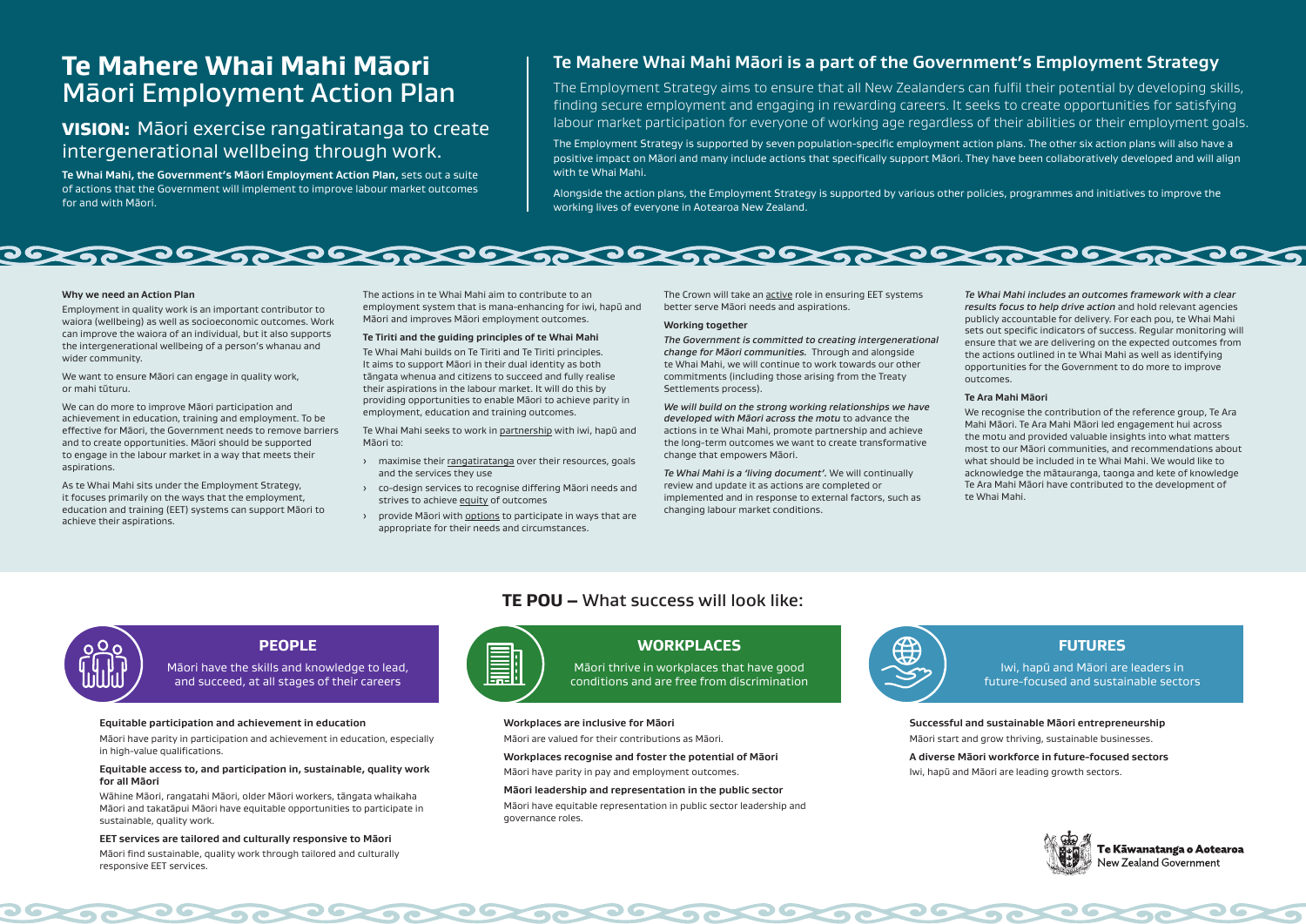## **Te Mahere Whai Mahi Māori is a part of the Government's Employment Strategy**

The Employment Strategy aims to ensure that all New Zealanders can fulfil their potential by developing skills, finding secure employment and engaging in rewarding careers. It seeks to create opportunities for satisfying labour market participation for everyone of working age regardless of their abilities or their employment goals.

The Employment Strategy is supported by seven population-specific employment action plans. The other six action plans will also have a positive impact on Māori and many include actions that specifically support Māori. They have been collaboratively developed and will align with te Whai Mahi.

Alongside the action plans, the Employment Strategy is supported by various other policies, programmes and initiatives to improve the working lives of everyone in Aotearoa New Zealand.



#### **Why we need an Action Plan**

Employment in quality work is an important contributor to waiora (wellbeing) as well as socioeconomic outcomes. Work can improve the waiora of an individual, but it also supports the intergenerational wellbeing of a person's whanau and wider community.

We want to ensure Māori can engage in quality work, or mahi tūturu.

We can do more to improve Māori participation and achievement in education, training and employment. To be effective for Māori, the Government needs to remove barriers and to create opportunities. Māori should be supported to engage in the labour market in a way that meets their aspirations.

As te Whai Mahi sits under the Employment Strategy, it focuses primarily on the ways that the employment, education and training (EET) systems can support Māori to achieve their aspirations.

The actions in te Whai Mahi aim to contribute to an employment system that is mana-enhancing for iwi, hapū and Māori and improves Māori employment outcomes.

### **Te Tiriti and the guiding principles of te Whai Mahi**

Te Whai Mahi builds on Te Tiriti and Te Tiriti principles. It aims to support Māori in their dual identity as both tāngata whenua and citizens to succeed and fully realise their aspirations in the labour market. It will do this by providing opportunities to enable Māori to achieve parity in employment, education and training outcomes.

Te Whai Mahi seeks to work in partnership with iwi, hapū and Māori to:

- › maximise their rangatiratanga over their resources, goals and the services they use
- › co-design services to recognise differing Māori needs and strives to achieve equity of outcomes
- › provide Māori with options to participate in ways that are appropriate for their needs and circumstances.

The Crown will take an active role in ensuring EET systems better serve Māori needs and aspirations.

#### **Working together**

*The Government is committed to creating intergenerational change for Māori communities.* Through and alongside te Whai Mahi, we will continue to work towards our other commitments (including those arising from the Treaty Settlements process).

*We will build on the strong working relationships we have developed with Māori across the motu* to advance the actions in te Whai Mahi, promote partnership and achieve the long-term outcomes we want to create transformative change that empowers Māori.

*Te Whai Mahi is a 'living document'.* We will continually review and update it as actions are completed or implemented and in response to external factors, such as changing labour market conditions.

 $\bullet$ 

*Te Whai Mahi includes an outcomes framework with a clear results focus to help drive action* and hold relevant agencies publicly accountable for delivery. For each pou, te Whai Mahi sets out specific indicators of success. Regular monitoring will ensure that we are delivering on the expected outcomes from the actions outlined in te Whai Mahi as well as identifying opportunities for the Government to do more to improve outcomes.

### **Te Ara Mahi Māori**

We recognise the contribution of the reference group, Te Ara Mahi Māori. Te Ara Mahi Māori led engagement hui across the motu and provided valuable insights into what matters most to our Māori communities, and recommendations about what should be included in te Whai Mahi. We would like to acknowledge the mātauranga, taonga and kete of knowledge Te Ara Mahi Māori have contributed to the development of te Whai Mahi.

## **TE POU –** What success will look like:



**Successful and sustainable Māori entrepreneurship**  Māori start and grow thriving, sustainable businesses. **A diverse Māori workforce in future-focused sectors** 

Iwi, hapū and Māori are leading growth sectors.



Te Kāwanatanga o Aotearoa New Zealand Government

26

**Workplaces are inclusive for Māori**  Māori are valued for their contributions as Māori.

**Workplaces recognise and foster the potential of Māori**  Māori have parity in pay and employment outcomes.

#### **Māori leadership and representation in the public sector**

 $\bullet$ 

 $\bullet$ 

Māori have equitable representation in public sector leadership and governance roles.



### **Equitable participation and achievement in education**

Māori have parity in participation and achievement in education, especially in high-value qualifications.

#### **Equitable access to, and participation in, sustainable, quality work for all Māori**

Wāhine Māori, rangatahi Māori, older Māori workers, tāngata whaikaha Māori and takatāpui Māori have equitable opportunities to participate in sustainable, quality work.

### **EET services are tailored and culturally responsive to Māori**

Māori find sustainable, quality work through tailored and culturally responsive EET services.

## **PEOPLE**

Māori have the skills and knowledge to lead, and succeed, at all stages of their careers

 $\overline{\phantom{a}}$ 

## **WORKPLACES**

Māori thrive in workplaces that have good conditions and are free from discrimination

 $\bullet$ 

## **FUTURES**

Iwi, hapū and Māori are leaders in future-focused and sustainable sectors

# **Te Mahere Whai Mahi Māori** Māori Employment Action Plan

## VISION: Māori exercise rangatiratanga to create intergenerational wellbeing through work.

**Te Whai Mahi, the Government's Māori Employment Action Plan,** sets out a suite of actions that the Government will implement to improve labour market outcomes for and with Māori.